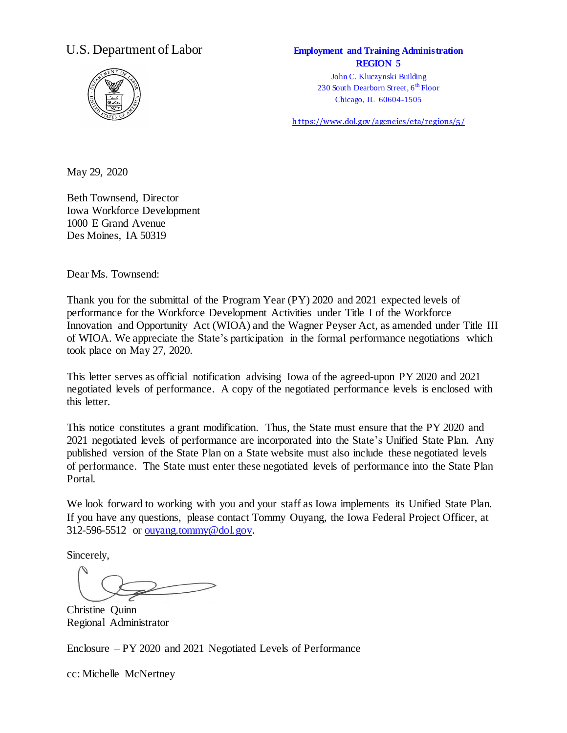

#### U.S. Department of Labor **Employment and Training Administration REGION 5**

John C. Kluczynski Building 230 South Dearborn Street, 6<sup>th</sup> Floor Chicago, IL 60604-1505

[h ttps://www.dol.gov /agencies/eta/regions/5/](https://www.dol.gov/agencies/eta/regions/5/)

May 29, 2020

Beth Townsend, Director Iowa Workforce Development 1000 E Grand Avenue Des Moines, IA 50319

Dear Ms. Townsend:

Thank you for the submittal of the Program Year (PY) 2020 and 2021 expected levels of performance for the Workforce Development Activities under Title I of the Workforce Innovation and Opportunity Act (WIOA) and the Wagner Peyser Act, as amended under Title III of WIOA. We appreciate the State's participation in the formal performance negotiations which took place on May 27, 2020.

This letter serves as official notification advising Iowa of the agreed-upon PY 2020 and 2021 negotiated levels of performance. A copy of the negotiated performance levels is enclosed with this letter.

This notice constitutes a grant modification. Thus, the State must ensure that the PY 2020 and 2021 negotiated levels of performance are incorporated into the State's Unified State Plan. Any published version of the State Plan on a State website must also include these negotiated levels of performance. The State must enter these negotiated levels of performance into the State Plan Portal.

We look forward to working with you and your staff as Iowa implements its Unified State Plan. If you have any questions, please contact Tommy Ouyang, the Iowa Federal Project Officer, at 312-596-5512 or [ouyang.tommy@dol.gov](mailto:ouyang.tommy@dol.gov)[.](mailto:ouyang.tommy@dol.gov)

Sincerely,

Christine Quinn Regional Administrator

Enclosure – PY 2020 and 2021 Negotiated Levels of Performance

cc: Michelle McNertney